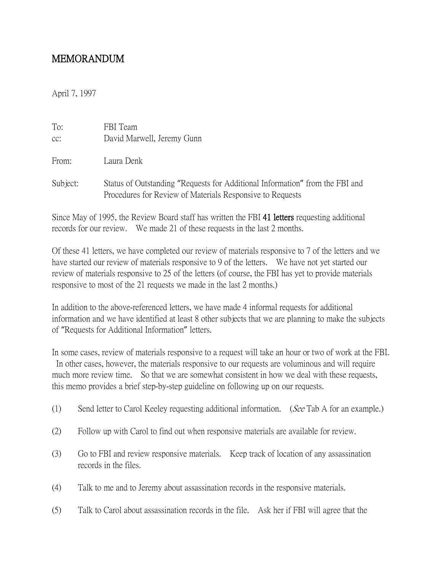## MEMORANDUM

April 7, 1997

| To:      | FBI Team                                                                                                                                  |
|----------|-------------------------------------------------------------------------------------------------------------------------------------------|
| cc:      | David Marwell, Jeremy Gunn                                                                                                                |
|          |                                                                                                                                           |
| From:    | Laura Denk                                                                                                                                |
| Subject: | Status of Outstanding "Requests for Additional Information" from the FBI and<br>Procedures for Review of Materials Responsive to Requests |

Since May of 1995, the Review Board staff has written the FBI 41 letters requesting additional records for our review. We made 21 of these requests in the last 2 months.

Of these 41 letters, we have completed our review of materials responsive to 7 of the letters and we have started our review of materials responsive to 9 of the letters. We have not yet started our review of materials responsive to 25 of the letters (of course, the FBI has yet to provide materials responsive to most of the 21 requests we made in the last 2 months.)

In addition to the above-referenced letters, we have made 4 informal requests for additional information and we have identified at least 8 other subjects that we are planning to make the subjects of "Requests for Additional Information" letters.

In some cases, review of materials responsive to a request will take an hour or two of work at the FBI. In other cases, however, the materials responsive to our requests are voluminous and will require much more review time. So that we are somewhat consistent in how we deal with these requests, this memo provides a brief step-by-step guideline on following up on our requests.

- (1) Send letter to Carol Keeley requesting additional information. (See Tab A for an example.)
- (2) Follow up with Carol to find out when responsive materials are available for review.
- (3) Go to FBI and review responsive materials. Keep track of location of any assassination records in the files.
- (4) Talk to me and to Jeremy about assassination records in the responsive materials.
- (5) Talk to Carol about assassination records in the file. Ask her if FBI will agree that the